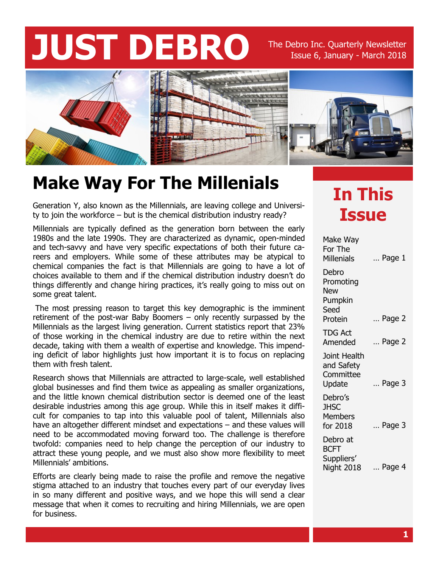# **JUST DEBRO** The Debro Inc. Quarterly Newsletter

### Issue 6, January - March 2018



#### **Make Way For The Millenials**

Generation Y, also known as the Millennials, are leaving college and Universi-<br>ty to join the workforce – but is the chemical distribution industry ready? **TSSUC** 

Millennials are typically defined as the generation born between the early 1980s and the late 1990s. They are characterized as dynamic, open-minded and tech-savvy and have very specific expectations of both their future careers and employers. While some of these attributes may be atypical to chemical companies the fact is that Millennials are going to have a lot of choices available to them and if the chemical distribution industry doesn't do things differently and change hiring practices, it's really going to miss out on some great talent.

The most pressing reason to target this key demographic is the imminent retirement of the post-war Baby Boomers – only recently surpassed by the Millennials as the largest living generation. Current statistics report that 23% of those working in the chemical industry are due to retire within the next decade, taking with them a wealth of expertise and knowledge. This impending deficit of labor highlights just how important it is to focus on replacing them with fresh talent.

Research shows that Millennials are attracted to large-scale, well established global businesses and find them twice as appealing as smaller organizations, and the little known chemical distribution sector is deemed one of the least desirable industries among this age group. While this in itself makes it difficult for companies to tap into this valuable pool of talent, Millennials also have an altogether different mindset and expectations – and these values will need to be accommodated moving forward too. The challenge is therefore twofold: companies need to help change the perception of our industry to attract these young people, and we must also show more flexibility to meet Millennials' ambitions.

Efforts are clearly being made to raise the profile and remove the negative stigma attached to an industry that touches every part of our everyday lives in so many different and positive ways, and we hope this will send a clear message that when it comes to recruiting and hiring Millennials, we are open for business.

# **In This**

| Make Way<br>For The<br>Millenials                       | Page 1 |
|---------------------------------------------------------|--------|
| Debro<br>Promoting<br>New<br>Pumpkin<br>Seed<br>Protein | Page 2 |
| <b>TDG Act</b><br>Amended                               | Page 2 |
| Joint Health<br>and Safety<br>Committee<br>Update       | Page 3 |
| Debro's<br><b>JHSC</b><br><b>Members</b><br>for 2018    | Page 3 |
| Debro at<br><b>BCFT</b><br>Suppliers'<br>Night 2018     | Page 4 |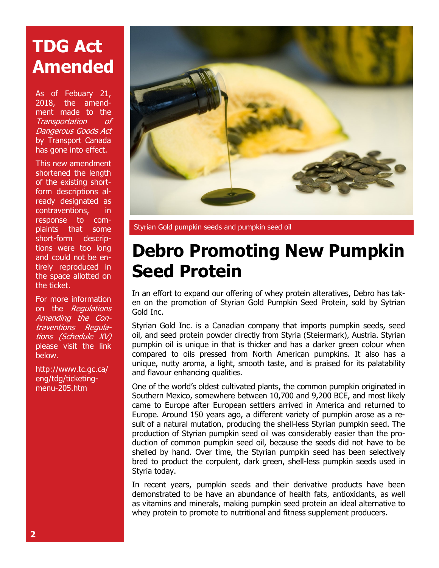#### **TDG Act Amended**

As of Febuary 21, 2018, the amendment made to the Transportation of Dangerous Goods Act by Transport Canada has gone into effect.

This new amendment shortened the length of the existing shortform descriptions already designated as contraventions, in response to complaints that some short-form descriptions were too long and could not be entirely reproduced in the space allotted on the ticket.

For more information on the *Regulations* Amending the Contraventions Regulations (Schedule XV) please visit the link below.

http://www.tc.gc.ca/ eng/tdg/ticketingmenu-205.htm



Styrian Gold pumpkin seeds and pumpkin seed oil

#### **Debro Promoting New Pumpkin Seed Protein**

In an effort to expand our offering of whey protein alteratives, Debro has taken on the promotion of Styrian Gold Pumpkin Seed Protein, sold by Sytrian Gold Inc.

Styrian Gold Inc. is a Canadian company that imports pumpkin seeds, seed oil, and seed protein powder directly from Styria (Steiermark), Austria. Styrian pumpkin oil is unique in that is thicker and has a darker green colour when compared to oils pressed from North American pumpkins. It also has a unique, nutty aroma, a light, smooth taste, and is praised for its palatability and flavour enhancing qualities.

One of the world's oldest cultivated plants, the common pumpkin originated in Southern Mexico, somewhere between 10,700 and 9,200 BCE, and most likely came to Europe after European settlers arrived in America and returned to Europe. Around 150 years ago, a different variety of pumpkin arose as a result of a natural mutation, producing the shell-less Styrian pumpkin seed. The production of Styrian pumpkin seed oil was considerably easier than the production of common pumpkin seed oil, because the seeds did not have to be shelled by hand. Over time, the Styrian pumpkin seed has been selectively bred to product the corpulent, dark green, shell-less pumpkin seeds used in Styria today.

In recent years, pumpkin seeds and their derivative products have been demonstrated to be have an abundance of health fats, antioxidants, as well as vitamins and minerals, making pumpkin seed protein an ideal alternative to whey protein to promote to nutritional and fitness supplement producers.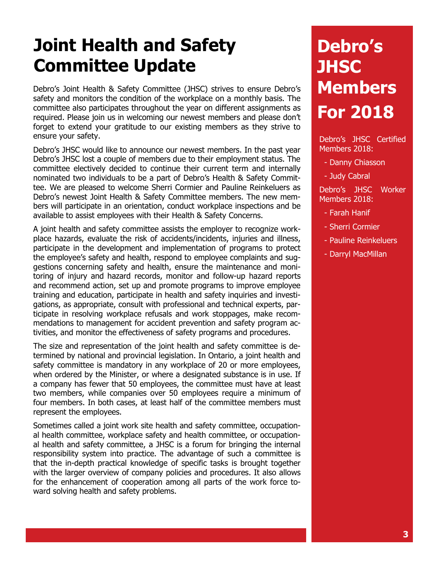#### **Joint Health and Safety Committee Update**

Debro's Joint Health & Safety Committee (JHSC) strives to ensure Debro's safety and monitors the condition of the workplace on a monthly basis. The committee also participates throughout the year on different assignments as required. Please join us in welcoming our newest members and please don't forget to extend your gratitude to our existing members as they strive to ensure your safety.

Debro's JHSC would like to announce our newest members. In the past year Debro's JHSC lost a couple of members due to their employment status. The committee electively decided to continue their current term and internally nominated two individuals to be a part of Debro's Health & Safety Committee. We are pleased to welcome Sherri Cormier and Pauline Reinkeluers as Debro's newest Joint Health & Safety Committee members. The new members will participate in an orientation, conduct workplace inspections and be available to assist employees with their Health & Safety Concerns.

A joint health and safety committee assists the employer to recognize workplace hazards, evaluate the risk of accidents/incidents, injuries and illness, participate in the development and implementation of programs to protect the employee's safety and health, respond to employee complaints and suggestions concerning safety and health, ensure the maintenance and monitoring of injury and hazard records, monitor and follow-up hazard reports and recommend action, set up and promote programs to improve employee training and education, participate in health and safety inquiries and investigations, as appropriate, consult with professional and technical experts, participate in resolving workplace refusals and work stoppages, make recommendations to management for accident prevention and safety program activities, and monitor the effectiveness of safety programs and procedures.

The size and representation of the joint health and safety committee is determined by national and provincial legislation. In Ontario, a joint health and safety committee is mandatory in any workplace of 20 or more employees, when ordered by the Minister, or where a designated substance is in use. If a company has fewer that 50 employees, the committee must have at least two members, while companies over 50 employees require a minimum of four members. In both cases, at least half of the committee members must represent the employees.

Sometimes called a joint work site health and safety committee, occupational health committee, workplace safety and health committee, or occupational health and safety committee, a JHSC is a forum for bringing the internal responsibility system into practice. The advantage of such a committee is that the in-depth practical knowledge of specific tasks is brought together with the larger overview of company policies and procedures. It also allows for the enhancement of cooperation among all parts of the work force toward solving health and safety problems.

## **Debro's JHSC Members For 2018**

Debro's JHSC Certified Members 2018:

- Danny Chiasson
- Judy Cabral

Debro's JHSC Worker Members 2018:

- Farah Hanif
- Sherri Cormier
- Pauline Reinkeluers
- Darryl MacMillan